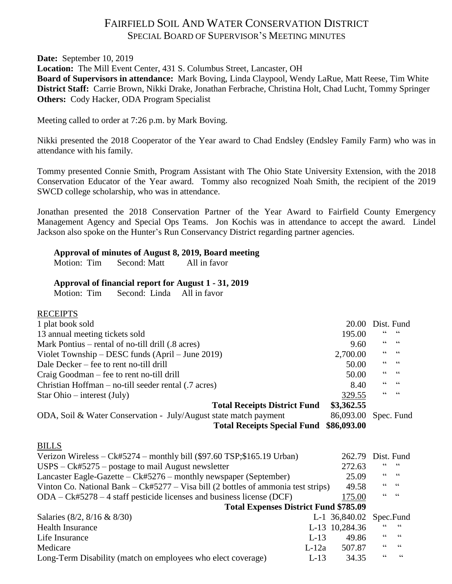# FAIRFIELD SOIL AND WATER CONSERVATION DISTRICT SPECIAL BOARD OF SUPERVISOR'S MEETING MINUTES

**Date:** September 10, 2019

**Location:** The Mill Event Center, 431 S. Columbus Street, Lancaster, OH

**Board of Supervisors in attendance:** Mark Boving, Linda Claypool, Wendy LaRue, Matt Reese, Tim White **District Staff:** Carrie Brown, Nikki Drake, Jonathan Ferbrache, Christina Holt, Chad Lucht, Tommy Springer **Others:** Cody Hacker, ODA Program Specialist

Meeting called to order at 7:26 p.m. by Mark Boving.

Nikki presented the 2018 Cooperator of the Year award to Chad Endsley (Endsley Family Farm) who was in attendance with his family.

Tommy presented Connie Smith, Program Assistant with The Ohio State University Extension, with the 2018 Conservation Educator of the Year award. Tommy also recognized Noah Smith, the recipient of the 2019 SWCD college scholarship, who was in attendance.

Jonathan presented the 2018 Conservation Partner of the Year Award to Fairfield County Emergency Management Agency and Special Ops Teams. Jon Kochis was in attendance to accept the award. Lindel Jackson also spoke on the Hunter's Run Conservancy District regarding partner agencies.

### **Approval of minutes of August 8, 2019, Board meeting**

Motion: Tim Second: Matt All in favor

### **Approval of financial report for August 1 - 31, 2019**

Motion: Tim Second: Linda All in favor

### RECEIPTS

| 1 plat book sold                                                                    | 20.00                   |            | Dist. Fund               |
|-------------------------------------------------------------------------------------|-------------------------|------------|--------------------------|
| 13 annual meeting tickets sold                                                      | 195.00                  |            |                          |
| Mark Pontius – rental of no-till drill (.8 acres)                                   | 9.60                    | 66         | $\,$ 6 6 $\,$            |
| Violet Township – DESC funds $(Apri]$ – June 2019)                                  | 2,700.00                | 66         | $\,$ 6 6 $\,$            |
| Dale Decker – fee to rent no-till drill                                             | 50.00                   | 66         | $\,$ 6 6 $\,$            |
| Craig Goodman – fee to rent no-till drill                                           | 50.00                   | 66         | $\textsf{G}\,\textsf{G}$ |
| Christian Hoffman – no-till seeder rental (.7 acres)                                | 8.40                    | "          | $\,$ 6 6 $\,$            |
| Star Ohio – interest (July)                                                         | 329.55                  | $\epsilon$ | $\textsf{G}\,\textsf{G}$ |
| <b>Total Receipts District Fund</b>                                                 | \$3,362.55              |            |                          |
| ODA, Soil & Water Conservation - July/August state match payment                    | 86,093.00               |            | Spec. Fund               |
| <b>Total Receipts Special Fund</b>                                                  | \$86,093.00             |            |                          |
|                                                                                     |                         |            |                          |
| <b>BILLS</b>                                                                        |                         |            |                          |
| Verizon Wireless – $Ck#5274$ – monthly bill (\$97.60 TSP;\$165.19 Urban)            | 262.79                  |            | Dist. Fund               |
| $USPS - Ck#5275$ – postage to mail August newsletter                                | 272.63                  |            | 66                       |
| Lancaster Eagle-Gazette $-Ck#5276$ – monthly newspaper (September)                  | 25.09                   | 66         | $\textsf{G}\,\textsf{G}$ |
| Vinton Co. National Bank – $Ck#5277 - Visa bill$ (2 bottles of ammonia test strips) | 49.58                   | 66         | $\mathsf{G}\,\mathsf{G}$ |
| $ODA - Ck \# 5278 - 4$ staff pesticide licenses and business license (DCF)          | 175.00                  | 66         | 66                       |
| <b>Total Expenses District Fund \$785.09</b>                                        |                         |            |                          |
| Salaries (8/2, 8/16 & 8/30)                                                         | L-1 36,840.02 Spec.Fund |            |                          |
| <b>Health Insurance</b>                                                             | L-13 10,284.36          |            | 66                       |
| $L-13$<br>Life Insurance                                                            | 49.86                   | 66         | $\mbox{\bf G}$           |
| Medicare<br>$L-12a$                                                                 | 507.87                  |            | $\textsf{G}\,\textsf{G}$ |
| Long-Term Disability (match on employees who elect coverage)<br>$L-13$              | 34.35                   | 66         | 66                       |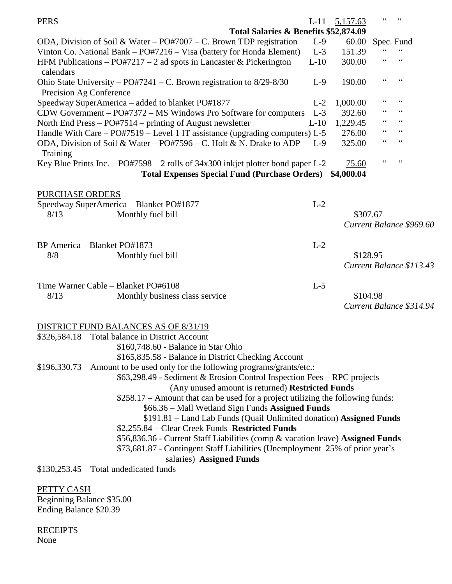| <b>PERS</b>                         |                                                                                      | $L-11$                                | 5,157.63   | $\epsilon$                        | $\zeta$ $\zeta$                            |
|-------------------------------------|--------------------------------------------------------------------------------------|---------------------------------------|------------|-----------------------------------|--------------------------------------------|
|                                     |                                                                                      | Total Salaries & Benefits \$52,874.09 |            |                                   |                                            |
|                                     | ODA, Division of Soil & Water – $PO#7007$ – C. Brown TDP registration                | $L-9$                                 | 60.00      | Spec. Fund                        |                                            |
|                                     | Vinton Co. National Bank – PO#7216 – Visa (battery for Honda Element)                | $L-3$                                 | 151.39     |                                   | $\boldsymbol{\zeta} \, \boldsymbol{\zeta}$ |
| calendars                           | HFM Publications – PO#7217 – 2 ad spots in Lancaster & Pickerington                  | $L-10$                                | 300.00     | $\zeta$ $\zeta$                   | $\subseteq$ $\subseteq$                    |
| Precision Ag Conference             | Ohio State University – PO#7241 – C. Brown registration to $8/29 - 8/30$             | $L-9$                                 | 190.00     | 66                                | $\mbox{\bf G}$                             |
|                                     | Speedway SuperAmerica - added to blanket PO#1877                                     | $L-2$                                 | 1,000.00   | $\zeta$ $\zeta$                   | $\mbox{\bf G}$                             |
|                                     | CDW Government - PO#7372 - MS Windows Pro Software for computers                     | $L-3$                                 | 392.60     | 66                                | $\mbox{\bf G}$                             |
|                                     | North End Press $-$ PO#7514 $-$ printing of August newsletter                        | $L-10$                                | 1,229.45   | 66                                | $\zeta\,\zeta$                             |
|                                     | Handle With Care $-$ PO#7519 $-$ Level 1 IT assistance (upgrading computers) L-5     |                                       | 276.00     | 66                                | $\mbox{\bf G}$                             |
| Training                            | ODA, Division of Soil & Water - PO#7596 - C. Holt & N. Drake to ADP                  | $L-9$                                 | 325.00     | $\!\!\!\zeta\,\zeta\!\!\!\zeta\!$ | $\mbox{\bf G}$                             |
|                                     | Key Blue Prints Inc. $-$ PO#7598 $-$ 2 rolls of 34x300 inkjet plotter bond paper L-2 |                                       | 75.60      | $\zeta$ $\zeta$                   | 66                                         |
|                                     | <b>Total Expenses Special Fund (Purchase Orders)</b>                                 |                                       | \$4,000.04 |                                   |                                            |
| <b>PURCHASE ORDERS</b>              |                                                                                      |                                       |            |                                   |                                            |
|                                     | Speedway SuperAmerica - Blanket PO#1877                                              | $L-2$                                 |            |                                   |                                            |
| 8/13                                | Monthly fuel bill                                                                    |                                       | \$307.67   |                                   |                                            |
|                                     |                                                                                      |                                       |            |                                   | Current Balance \$969.60                   |
| BP America - Blanket PO#1873        |                                                                                      | $L-2$                                 |            |                                   |                                            |
| 8/8                                 | Monthly fuel bill                                                                    |                                       | \$128.95   |                                   |                                            |
|                                     |                                                                                      |                                       |            |                                   | Current Balance \$113.43                   |
|                                     |                                                                                      |                                       |            |                                   |                                            |
| Time Warner Cable - Blanket PO#6108 |                                                                                      | $L-5$                                 |            |                                   |                                            |
| 8/13                                | Monthly business class service                                                       |                                       | \$104.98   |                                   |                                            |
|                                     |                                                                                      |                                       |            |                                   | Current Balance \$314.94                   |
|                                     | DISTRICT FUND BALANCES AS OF 8/31/19                                                 |                                       |            |                                   |                                            |
| \$326,584.18                        | Total balance in District Account                                                    |                                       |            |                                   |                                            |
|                                     | \$160,748.60 - Balance in Star Ohio                                                  |                                       |            |                                   |                                            |
|                                     | \$165,835.58 - Balance in District Checking Account                                  |                                       |            |                                   |                                            |

\$66.36 – Mall Wetland Sign Funds **Assigned Funds** \$191.81 – Land Lab Funds (Quail Unlimited donation) **Assigned Funds**

\$196,330.73 Amount to be used only for the following programs/grants/etc.:

\$2,255.84 – Clear Creek Funds **Restricted Funds**

\$56,836.36 - Current Staff Liabilities (comp & vacation leave) **Assigned Funds**

(Any unused amount is returned) **Restricted Funds** \$258.17 – Amount that can be used for a project utilizing the following funds:

\$63,298.49 - Sediment & Erosion Control Inspection Fees – RPC projects

\$73,681.87 - Contingent Staff Liabilities (Unemployment–25% of prior year's salaries) **Assigned Funds**

\$130,253.45 Total undedicated funds

PETTY CASH Beginning Balance \$35.00 Ending Balance \$20.39

RECEIPTS None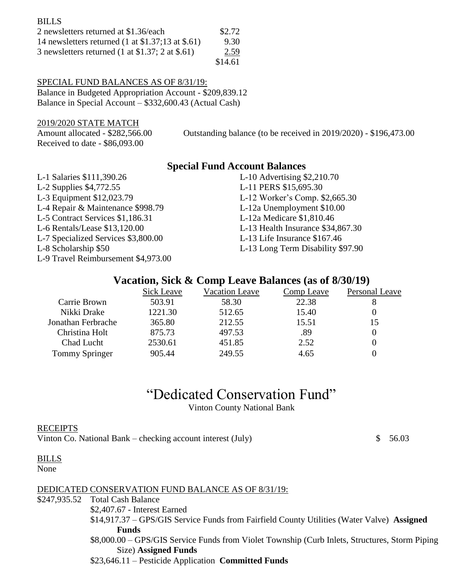| <b>BILLS</b>                                                        |         |
|---------------------------------------------------------------------|---------|
| 2 newsletters returned at \$1.36/each                               | \$2.72  |
| 14 newsletters returned $(1 \text{ at } $1.37;13 \text{ at } $.61)$ | 9.30    |
| 3 newsletters returned (1 at $$1.37; 2$ at $$.61)$ )                | 2.59    |
|                                                                     | \$14.61 |

### SPECIAL FUND BALANCES AS OF 8/31/19:

Balance in Budgeted Appropriation Account - \$209,839.12 Balance in Special Account – \$332,600.43 (Actual Cash)

2019/2020 STATE MATCH

Received to date - \$86,093.00

Amount allocated - \$282,566.00 Outstanding balance (to be received in 2019/2020) - \$196,473.00

### **Special Fund Account Balances**

L-1 Salaries \$111,390.26 L-10 Advertising \$2,210.70 L-2 Supplies \$4,772.55 L-11 PERS \$15,695.30 L-3 Equipment \$12,023.79 L-12 Worker's Comp. \$2,665.30 L-4 Repair & Maintenance \$998.79 L-12a Unemployment \$10.00 L-5 Contract Services \$1,186.31 L-12a Medicare \$1,810.46 L-6 Rentals/Lease \$13,120.00 L-13 Health Insurance \$34,867.30 L-7 Specialized Services \$3,800.00 L-13 Life Insurance \$167.46 L-8 Scholarship \$50 L-13 Long Term Disability \$97.90 L-9 Travel Reimbursement \$4,973.00

# **Vacation, Sick & Comp Leave Balances (as of 8/30/19)**

|                       | Sick Leave | <b>Vacation Leave</b> | Comp Leave | Personal Leave |
|-----------------------|------------|-----------------------|------------|----------------|
| Carrie Brown          | 503.91     | 58.30                 | 22.38      |                |
| Nikki Drake           | 1221.30    | 512.65                | 15.40      |                |
| Jonathan Ferbrache    | 365.80     | 212.55                | 15.51      | 15             |
| Christina Holt        | 875.73     | 497.53                | .89        |                |
| Chad Lucht            | 2530.61    | 451.85                | 2.52       |                |
| <b>Tommy Springer</b> | 905.44     | 249.55                | 4.65       |                |

"Dedicated Conservation Fund"

Vinton County National Bank

### RECEIPTS

Vinton Co. National Bank – checking account interest (July)  $$56.03$ 

### BILLS

None

### DEDICATED CONSERVATION FUND BALANCE AS OF 8/31/19:

\$247,935.52 Total Cash Balance

\$2,407.67 - Interest Earned

\$14,917.37 – GPS/GIS Service Funds from Fairfield County Utilities (Water Valve) **Assigned Funds**

\$8,000.00 – GPS/GIS Service Funds from Violet Township (Curb Inlets, Structures, Storm Piping Size) **Assigned Funds**

\$23,646.11 – Pesticide Application **Committed Funds**